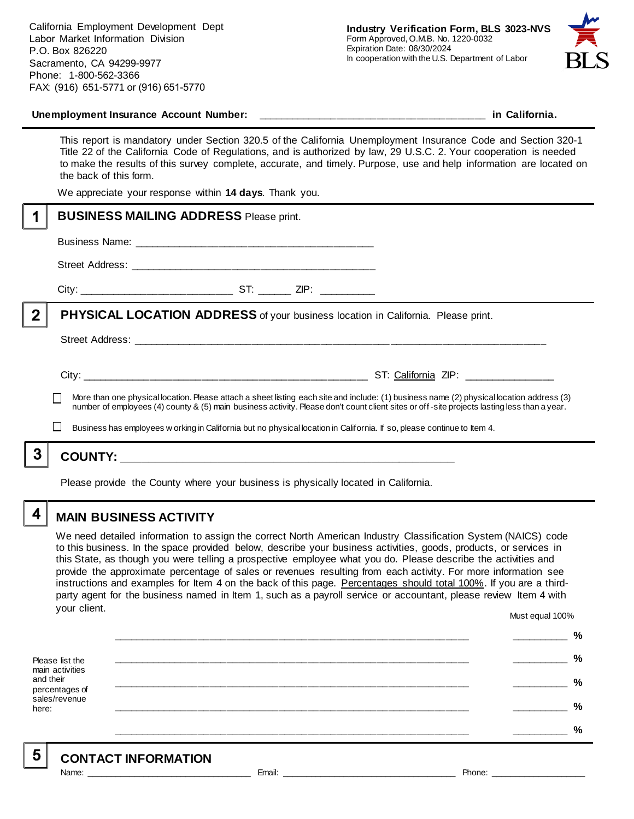

#### **Unemployment Insurance Account Number: \_\_\_\_\_\_\_\_\_\_\_\_\_\_\_\_\_\_\_\_\_\_\_\_\_\_\_\_\_\_\_\_\_\_\_\_\_\_\_\_ in California.**

This report is mandatory under Section 320.5 of the California Unemployment Insurance Code and Section 320-1 Title 22 of the California Code of Regulations, and is authorized by law, 29 U.S.C. 2. Your cooperation is needed to make the results of this survey complete, accurate, and timely. Purpose, use and help information are located on the back of this form.

We appreciate your response within **14 days**. Thank you.

|                | <b>BUSINESS MAILING ADDRESS Please print.</b>                                           |  |  |                                                                                                                                                                                                                                                                        |  |
|----------------|-----------------------------------------------------------------------------------------|--|--|------------------------------------------------------------------------------------------------------------------------------------------------------------------------------------------------------------------------------------------------------------------------|--|
|                |                                                                                         |  |  |                                                                                                                                                                                                                                                                        |  |
|                |                                                                                         |  |  |                                                                                                                                                                                                                                                                        |  |
|                |                                                                                         |  |  |                                                                                                                                                                                                                                                                        |  |
| $\overline{2}$ | <b>PHYSICAL LOCATION ADDRESS</b> of your business location in California. Please print. |  |  |                                                                                                                                                                                                                                                                        |  |
|                |                                                                                         |  |  |                                                                                                                                                                                                                                                                        |  |
|                |                                                                                         |  |  | More than one physical location. Please attach a sheet listing each site and include: (1) business name (2) physical location address (3)                                                                                                                              |  |
|                |                                                                                         |  |  | number of employees (4) county & (5) main business activity. Please don't count client sites or off-site projects lasting less than a year.<br>Business has employees w orking in California but no physical location in California. If so, please continue to Item 4. |  |
| 3              |                                                                                         |  |  |                                                                                                                                                                                                                                                                        |  |
|                | Please provide the County where your business is physically located in California.      |  |  |                                                                                                                                                                                                                                                                        |  |

**MAIN BUSINESS ACTIVITY**

4

5.

We need detailed information to assign the correct North American Industry Classification System (NAICS) code to this business. In the space provided below, describe your business activities, goods, products, or services in this State, as though you were telling a prospective employee what you do. Please describe the activities and provide the approximate percentage of sales or revenues resulting from each activity. For more information see instructions and examples for Item 4 on the back of this page. Percentages should total 100%. If you are a thirdparty agent for the business named in Item 1, such as a payroll service or accountant, please review Item 4 with your client.

Must equal 100%

|                                              | % |
|----------------------------------------------|---|
| Please list the<br>main activities           | % |
| and their<br>percentages of<br>sales/revenue | % |
| here:                                        | % |
|                                              | % |